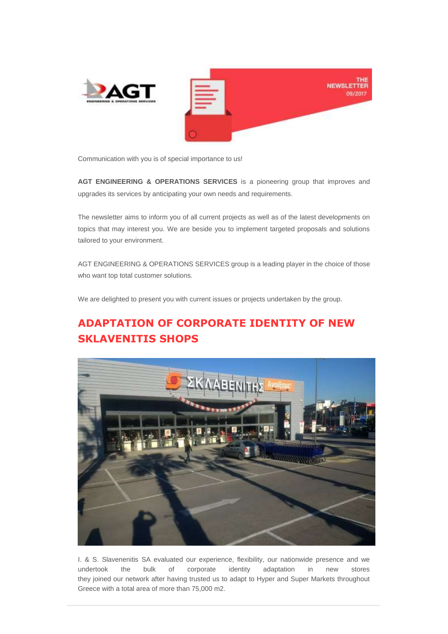

Communication with you is of special importance to us!

**AGT ENGINEERING & OPERATIONS SERVICES** is a pioneering group that improves and upgrades its services by anticipating your own needs and requirements.

The newsletter aims to inform you of all current projects as well as of the latest developments on topics that may interest you. We are beside you to implement targeted proposals and solutions tailored to your environment.

AGT ENGINEERING & OPERATIONS SERVICES group is a leading player in the choice of those who want top total customer solutions.

We are delighted to present you with current issues or projects undertaken by the group.

## **ADAPTATION OF CORPORATE IDENTITY OF NEW SKLAVENITIS SHOPS**



I. & S. Slavenenitis SA evaluated our experience, flexibility, our nationwide presence and we undertook the bulk of corporate identity adaptation in new stores they joined our network after having trusted us to adapt to Hyper and Super Markets throughout Greece with a total area of more than 75,000 m2.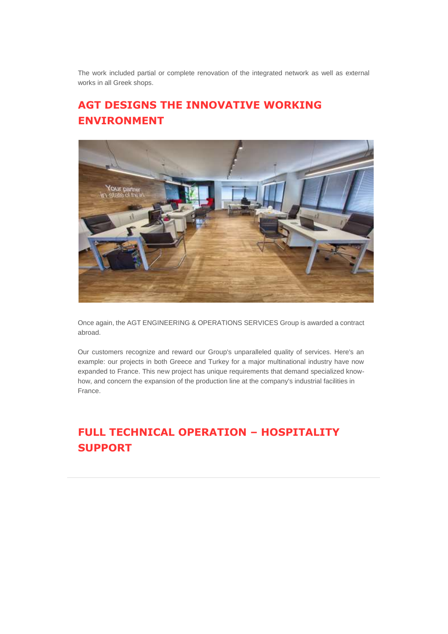The work included partial or complete renovation of the integrated network as well as external works in all Greek shops.

## **AGT DESIGNS THE INNOVATIVE WORKING ENVIRONMENT**



Once again, the AGT ENGINEERING & OPERATIONS SERVICES Group is awarded a contract abroad.

Our customers recognize and reward our Group's unparalleled quality of services. Here's an example: our projects in both Greece and Turkey for a major multinational industry have now expanded to France. This new project has unique requirements that demand specialized knowhow, and concern the expansion of the production line at the company's industrial facilities in France.

## **FULL TECHNICAL OPERATION – HOSPITALITY SUPPORT**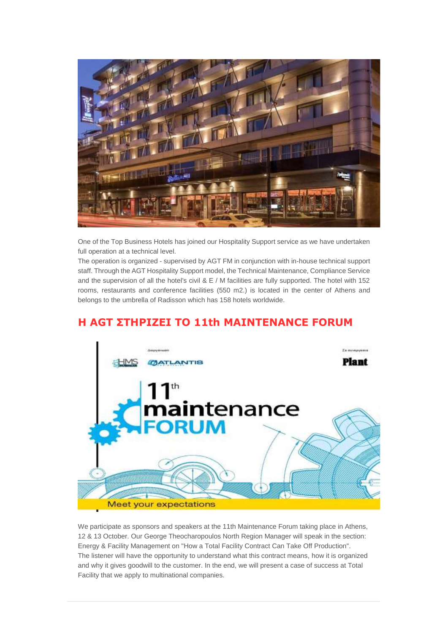

One of the Top Business Hotels has joined our Hospitality Support service as we have undertaken full operation at a technical level.

The operation is organized - supervised by AGT FM in conjunction with in-house technical support staff. Through the AGT Hospitality Support model, the Technical Maintenance, Compliance Service and the supervision of all the hotel's civil  $\&$  E / M facilities are fully supported. The hotel with 152 rooms, restaurants and conference facilities (550 m2.) is located in the center of Athens and belongs to the umbrella of Radisson which has 158 hotels worldwide.

## **Η AGT ΣΤΗΡΙΖΕΙ ΤΟ 11th MAINTENANCE FORUM**



We participate as sponsors and speakers at the 11th Maintenance Forum taking place in Athens, 12 & 13 October. Our George Theocharopoulos North Region Manager will speak in the section: Energy & Facility Management on "How a Total Facility Contract Can Take Off Production". The listener will have the opportunity to understand what this contract means, how it is organized and why it gives goodwill to the customer. In the end, we will present a case of success at Total Facility that we apply to multinational companies.